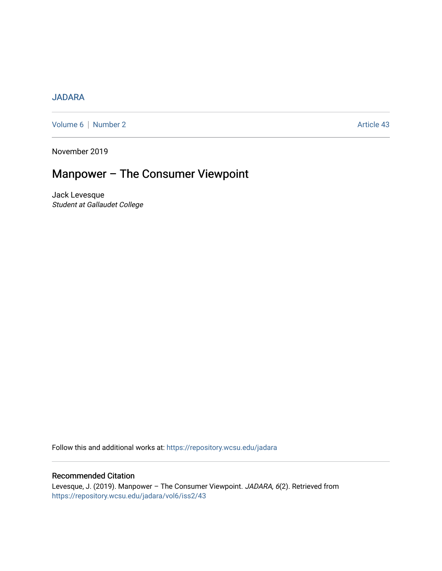## [JADARA](https://repository.wcsu.edu/jadara)

[Volume 6](https://repository.wcsu.edu/jadara/vol6) | [Number 2](https://repository.wcsu.edu/jadara/vol6/iss2) Article 43

November 2019

# Manpower – The Consumer Viewpoint

Jack Levesque Student at Gallaudet College

Follow this and additional works at: [https://repository.wcsu.edu/jadara](https://repository.wcsu.edu/jadara?utm_source=repository.wcsu.edu%2Fjadara%2Fvol6%2Fiss2%2F43&utm_medium=PDF&utm_campaign=PDFCoverPages)

### Recommended Citation

Levesque, J. (2019). Manpower – The Consumer Viewpoint. JADARA, 6(2). Retrieved from [https://repository.wcsu.edu/jadara/vol6/iss2/43](https://repository.wcsu.edu/jadara/vol6/iss2/43?utm_source=repository.wcsu.edu%2Fjadara%2Fvol6%2Fiss2%2F43&utm_medium=PDF&utm_campaign=PDFCoverPages)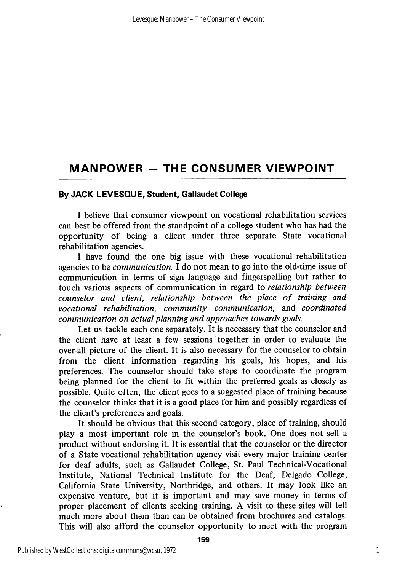# MANPOWER - THE CONSUMER VIEWPOINT

### By JACK LEVESQUE, Student, Gallaudet College

I believe that consumer viewpoint on vocational rehabilitation services can best be offered from the standpoint of a college student who has had the opportunity of being a client under three separate State vocational rehabilitation agencies.

I have found the one big issue with these vocational rehabilitation agencies to be communication. I do not mean to go into the old-time issue of communication in terms of sign language and fingerspelling but rather to touch various aspects of communication in regard to relationship between counselor and client, relationship between the place of training and vocational rehabilitation, community communication, and coordinated communication on actual planning and approaches towards goals.

Let us tackle each one separately. It is necessary that the counselor and the client have at least a few sessions together in order to evaluate the over-all picture of the client. It is also necessary for the counselor to obtain from the client information regarding his goals, his hopes, and his preferences. The counselor should take steps to coordinate the program being planned for the client to fit within the preferred goals as closely as possible. Quite often, the client goes to a suggested place of training because the counselor thinks that it is a good place for him and possibly regardless of the client's preferences and goals.

It should be obvious that this second category, place of training, should play a most important role in the counselor's book. One does not sell a product without endorsing it. It is essential that the counselor or the director of a State vocational rehabilitation agency visit every major training center for deaf adults, such as Gallaudet College, St. Paul Technical-Vocational Institute, National Technical Institute for the Deaf, Delgado College, California State University, Northridge, and others. It may look like an expensive venture, but it is important and may save money in terms of proper placement of clients seeking training. A visit to these sites will tell much more about them than can be obtained from brochures and catalogs. This will also afford the counselor opportunity to meet with the program

1